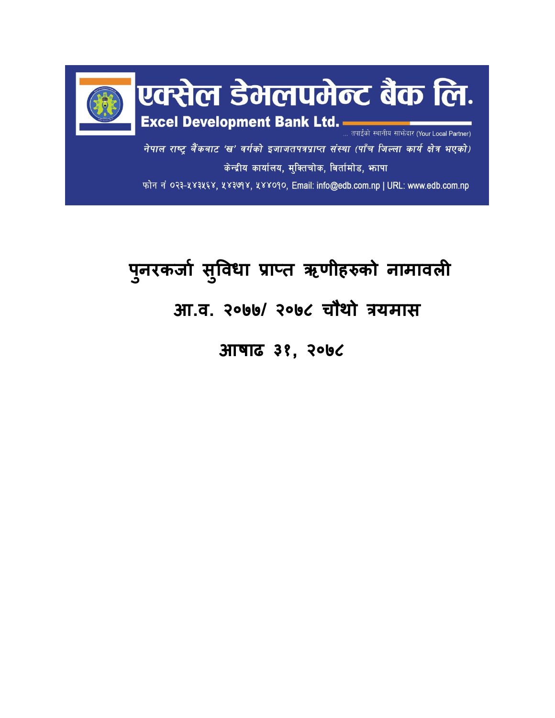

## **प ु नरकर्जा सु विधज प्रजप्त ऋणीहरुको नजमजिली आ.ि. २०७७/ २०७८ चौथो त्रयमजस**

 **आषजढ ३१, २०७८**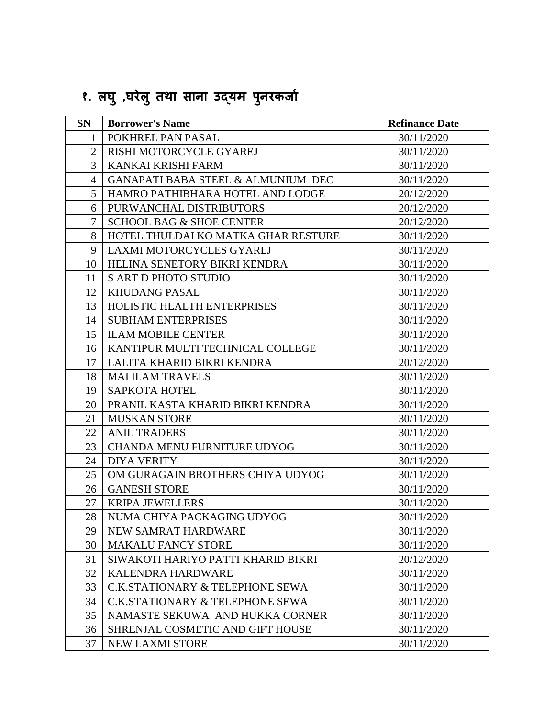## **१. लघ ु,घरेल ुतथज सजनज उद्यम पन ु रकर्जा**

| <b>SN</b>      | <b>Borrower's Name</b>              | <b>Refinance Date</b> |
|----------------|-------------------------------------|-----------------------|
| 1              | POKHREL PAN PASAL                   | 30/11/2020            |
| $\overline{2}$ | RISHI MOTORCYCLE GYAREJ             | 30/11/2020            |
| 3              | KANKAI KRISHI FARM                  | 30/11/2020            |
| $\overline{4}$ | GANAPATI BABA STEEL & ALMUNIUM DEC  | 30/11/2020            |
| 5              | HAMRO PATHIBHARA HOTEL AND LODGE    | 20/12/2020            |
| 6              | PURWANCHAL DISTRIBUTORS             | 20/12/2020            |
| 7              | <b>SCHOOL BAG &amp; SHOE CENTER</b> | 20/12/2020            |
| 8              | HOTEL THULDAI KO MATKA GHAR RESTURE | 30/11/2020            |
| 9              | LAXMI MOTORCYCLES GYAREJ            | 30/11/2020            |
| 10             | HELINA SENETORY BIKRI KENDRA        | 30/11/2020            |
| 11             | <b>S ART D PHOTO STUDIO</b>         | 30/11/2020            |
| 12             | <b>KHUDANG PASAL</b>                | 30/11/2020            |
| 13             | HOLISTIC HEALTH ENTERPRISES         | 30/11/2020            |
| 14             | <b>SUBHAM ENTERPRISES</b>           | 30/11/2020            |
| 15             | <b>ILAM MOBILE CENTER</b>           | 30/11/2020            |
| 16             | KANTIPUR MULTI TECHNICAL COLLEGE    | 30/11/2020            |
| 17             | LALITA KHARID BIKRI KENDRA          | 20/12/2020            |
| 18             | <b>MAI ILAM TRAVELS</b>             | 30/11/2020            |
| 19             | <b>SAPKOTA HOTEL</b>                | 30/11/2020            |
| 20             | PRANIL KASTA KHARID BIKRI KENDRA    | 30/11/2020            |
| 21             | <b>MUSKAN STORE</b>                 | 30/11/2020            |
| 22             | <b>ANIL TRADERS</b>                 | 30/11/2020            |
| 23             | CHANDA MENU FURNITURE UDYOG         | 30/11/2020            |
| 24             | <b>DIYA VERITY</b>                  | 30/11/2020            |
| 25             | OM GURAGAIN BROTHERS CHIYA UDYOG    | 30/11/2020            |
| 26             | <b>GANESH STORE</b>                 | 30/11/2020            |
| 27             | <b>KRIPA JEWELLERS</b>              | 30/11/2020            |
| 28             | NUMA CHIYA PACKAGING UDYOG          | 30/11/2020            |
| 29             | NEW SAMRAT HARDWARE                 | 30/11/2020            |
| 30             | <b>MAKALU FANCY STORE</b>           | 30/11/2020            |
| 31             | SIWAKOTI HARIYO PATTI KHARID BIKRI  | 20/12/2020            |
| 32             | KALENDRA HARDWARE                   | 30/11/2020            |
| 33             | C.K.STATIONARY & TELEPHONE SEWA     | 30/11/2020            |
| 34             | C.K.STATIONARY & TELEPHONE SEWA     | 30/11/2020            |
| 35             | NAMASTE SEKUWA AND HUKKA CORNER     | 30/11/2020            |
| 36             | SHRENJAL COSMETIC AND GIFT HOUSE    | 30/11/2020            |
| 37             | <b>NEW LAXMI STORE</b>              | 30/11/2020            |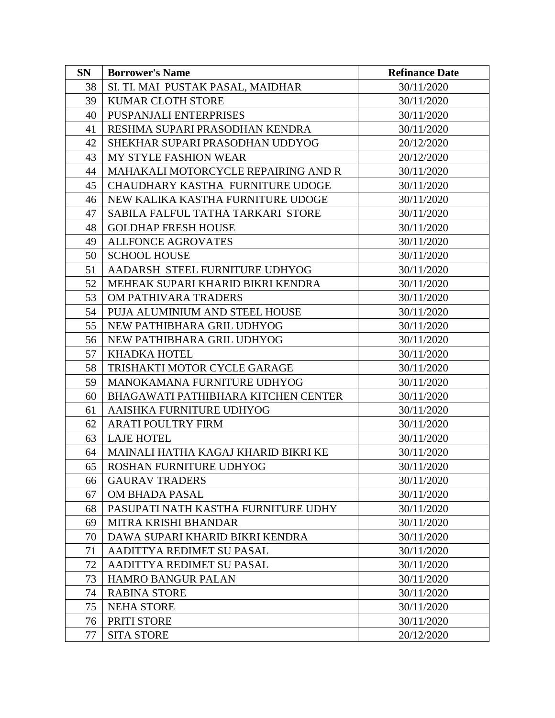| <b>SN</b> | <b>Borrower's Name</b>              | <b>Refinance Date</b> |
|-----------|-------------------------------------|-----------------------|
| 38        | SI. TI. MAI PUSTAK PASAL, MAIDHAR   | 30/11/2020            |
| 39        | <b>KUMAR CLOTH STORE</b>            | 30/11/2020            |
| 40        | PUSPANJALI ENTERPRISES              | 30/11/2020            |
| 41        | RESHMA SUPARI PRASODHAN KENDRA      | 30/11/2020            |
| 42        | SHEKHAR SUPARI PRASODHAN UDDYOG     | 20/12/2020            |
| 43        | MY STYLE FASHION WEAR               | 20/12/2020            |
| 44        | MAHAKALI MOTORCYCLE REPAIRING AND R | 30/11/2020            |
| 45        | CHAUDHARY KASTHA FURNITURE UDOGE    | 30/11/2020            |
| 46        | NEW KALIKA KASTHA FURNITURE UDOGE   | 30/11/2020            |
| 47        | SABILA FALFUL TATHA TARKARI STORE   | 30/11/2020            |
| 48        | <b>GOLDHAP FRESH HOUSE</b>          | 30/11/2020            |
| 49        | <b>ALLFONCE AGROVATES</b>           | 30/11/2020            |
| 50        | <b>SCHOOL HOUSE</b>                 | 30/11/2020            |
| 51        | AADARSH STEEL FURNITURE UDHYOG      | 30/11/2020            |
| 52        | MEHEAK SUPARI KHARID BIKRI KENDRA   | 30/11/2020            |
| 53        | OM PATHIVARA TRADERS                | 30/11/2020            |
| 54        | PUJA ALUMINIUM AND STEEL HOUSE      | 30/11/2020            |
| 55        | NEW PATHIBHARA GRIL UDHYOG          | 30/11/2020            |
| 56        | NEW PATHIBHARA GRIL UDHYOG          | 30/11/2020            |
| 57        | KHADKA HOTEL                        | 30/11/2020            |
| 58        | TRISHAKTI MOTOR CYCLE GARAGE        | 30/11/2020            |
| 59        | MANOKAMANA FURNITURE UDHYOG         | 30/11/2020            |
| 60        | BHAGAWATI PATHIBHARA KITCHEN CENTER | 30/11/2020            |
| 61        | AAISHKA FURNITURE UDHYOG            | 30/11/2020            |
| 62        | <b>ARATI POULTRY FIRM</b>           | 30/11/2020            |
| 63        | <b>LAJE HOTEL</b>                   | 30/11/2020            |
| 64        | MAINALI HATHA KAGAJ KHARID BIKRI KE | 30/11/2020            |
| 65        | ROSHAN FURNITURE UDHYOG             | 30/11/2020            |
| 66        | <b>GAURAV TRADERS</b>               | 30/11/2020            |
| 67        | OM BHADA PASAL                      | 30/11/2020            |
| 68        | PASUPATI NATH KASTHA FURNITURE UDHY | 30/11/2020            |
| 69        | MITRA KRISHI BHANDAR                | 30/11/2020            |
| 70        | DAWA SUPARI KHARID BIKRI KENDRA     | 30/11/2020            |
| 71        | AADITTYA REDIMET SU PASAL           | 30/11/2020            |
| 72        | AADITTYA REDIMET SU PASAL           | 30/11/2020            |
| 73        | <b>HAMRO BANGUR PALAN</b>           | 30/11/2020            |
| 74        | <b>RABINA STORE</b>                 | 30/11/2020            |
| 75        | <b>NEHA STORE</b>                   | 30/11/2020            |
| 76        | PRITI STORE                         | 30/11/2020            |
| 77        | <b>SITA STORE</b>                   | 20/12/2020            |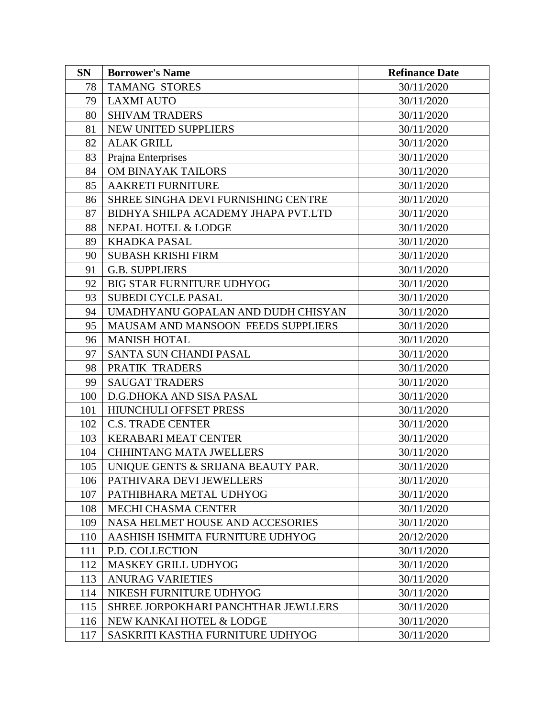| <b>SN</b> | <b>Borrower's Name</b>              | <b>Refinance Date</b> |
|-----------|-------------------------------------|-----------------------|
| 78        | <b>TAMANG STORES</b>                | 30/11/2020            |
| 79        | <b>LAXMI AUTO</b>                   | 30/11/2020            |
| 80        | <b>SHIVAM TRADERS</b>               | 30/11/2020            |
| 81        | NEW UNITED SUPPLIERS                | 30/11/2020            |
| 82        | <b>ALAK GRILL</b>                   | 30/11/2020            |
| 83        | Prajna Enterprises                  | 30/11/2020            |
| 84        | OM BINAYAK TAILORS                  | 30/11/2020            |
| 85        | <b>AAKRETI FURNITURE</b>            | 30/11/2020            |
| 86        | SHREE SINGHA DEVI FURNISHING CENTRE | 30/11/2020            |
| 87        | BIDHYA SHILPA ACADEMY JHAPA PVT.LTD | 30/11/2020            |
| 88        | NEPAL HOTEL & LODGE                 | 30/11/2020            |
| 89        | <b>KHADKA PASAL</b>                 | 30/11/2020            |
| 90        | <b>SUBASH KRISHI FIRM</b>           | 30/11/2020            |
| 91        | <b>G.B. SUPPLIERS</b>               | 30/11/2020            |
| 92        | <b>BIG STAR FURNITURE UDHYOG</b>    | 30/11/2020            |
| 93        | <b>SUBEDI CYCLE PASAL</b>           | 30/11/2020            |
| 94        | UMADHYANU GOPALAN AND DUDH CHISYAN  | 30/11/2020            |
| 95        | MAUSAM AND MANSOON FEEDS SUPPLIERS  | 30/11/2020            |
| 96        | <b>MANISH HOTAL</b>                 | 30/11/2020            |
| 97        | <b>SANTA SUN CHANDI PASAL</b>       | 30/11/2020            |
| 98        | PRATIK TRADERS                      | 30/11/2020            |
| 99        | <b>SAUGAT TRADERS</b>               | 30/11/2020            |
| 100       | D.G.DHOKA AND SISA PASAL            | 30/11/2020            |
| 101       | HIUNCHULI OFFSET PRESS              | 30/11/2020            |
| 102       | <b>C.S. TRADE CENTER</b>            | 30/11/2020            |
| 103       | <b>KERABARI MEAT CENTER</b>         | 30/11/2020            |
| 104       | <b>CHHINTANG MATA JWELLERS</b>      | 30/11/2020            |
| 105       | UNIQUE GENTS & SRIJANA BEAUTY PAR.  | 30/11/2020            |
| 106       | PATHIVARA DEVI JEWELLERS            | 30/11/2020            |
| 107       | PATHIBHARA METAL UDHYOG             | 30/11/2020            |
| 108       | <b>MECHI CHASMA CENTER</b>          | 30/11/2020            |
| 109       | NASA HELMET HOUSE AND ACCESORIES    | 30/11/2020            |
| 110       | AASHISH ISHMITA FURNITURE UDHYOG    | 20/12/2020            |
| 111       | P.D. COLLECTION                     | 30/11/2020            |
| 112       | <b>MASKEY GRILL UDHYOG</b>          | 30/11/2020            |
| 113       | <b>ANURAG VARIETIES</b>             | 30/11/2020            |
| 114       | NIKESH FURNITURE UDHYOG             | 30/11/2020            |
| 115       | SHREE JORPOKHARI PANCHTHAR JEWLLERS | 30/11/2020            |
| 116       | NEW KANKAI HOTEL & LODGE            | 30/11/2020            |
| 117       | SASKRITI KASTHA FURNITURE UDHYOG    | 30/11/2020            |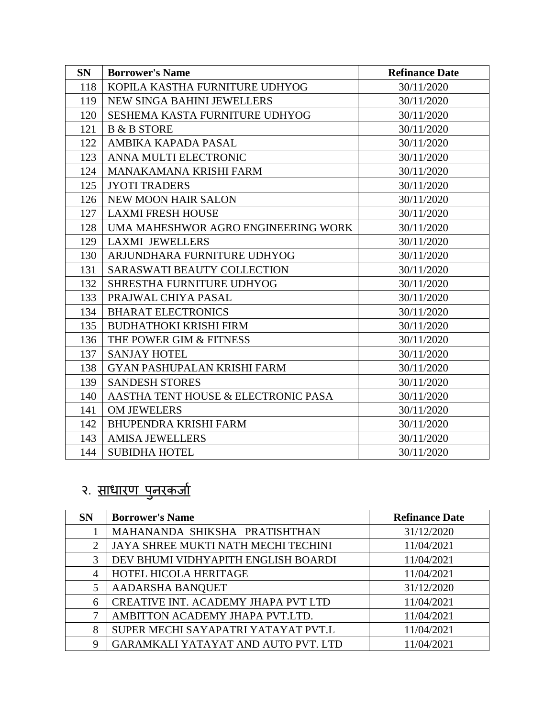| <b>SN</b> | <b>Borrower's Name</b>              | <b>Refinance Date</b> |
|-----------|-------------------------------------|-----------------------|
| 118       | KOPILA KASTHA FURNITURE UDHYOG      | 30/11/2020            |
| 119       | NEW SINGA BAHINI JEWELLERS          | 30/11/2020            |
| 120       | SESHEMA KASTA FURNITURE UDHYOG      | 30/11/2020            |
| 121       | <b>B &amp; B STORE</b>              | 30/11/2020            |
| 122       | AMBIKA KAPADA PASAL                 | 30/11/2020            |
| 123       | ANNA MULTI ELECTRONIC               | 30/11/2020            |
| 124       | MANAKAMANA KRISHI FARM              | 30/11/2020            |
| 125       | <b>JYOTI TRADERS</b>                | 30/11/2020            |
| 126       | <b>NEW MOON HAIR SALON</b>          | 30/11/2020            |
| 127       | <b>LAXMI FRESH HOUSE</b>            | 30/11/2020            |
| 128       | UMA MAHESHWOR AGRO ENGINEERING WORK | 30/11/2020            |
| 129       | <b>LAXMI JEWELLERS</b>              | 30/11/2020            |
| 130       | ARJUNDHARA FURNITURE UDHYOG         | 30/11/2020            |
| 131       | <b>SARASWATI BEAUTY COLLECTION</b>  | 30/11/2020            |
| 132       | SHRESTHA FURNITURE UDHYOG           | 30/11/2020            |
| 133       | PRAJWAL CHIYA PASAL                 | 30/11/2020            |
| 134       | <b>BHARAT ELECTRONICS</b>           | 30/11/2020            |
| 135       | <b>BUDHATHOKI KRISHI FIRM</b>       | 30/11/2020            |
| 136       | THE POWER GIM & FITNESS             | 30/11/2020            |
| 137       | <b>SANJAY HOTEL</b>                 | 30/11/2020            |
| 138       | <b>GYAN PASHUPALAN KRISHI FARM</b>  | 30/11/2020            |
| 139       | <b>SANDESH STORES</b>               | 30/11/2020            |
| 140       | AASTHA TENT HOUSE & ELECTRONIC PASA | 30/11/2020            |
| 141       | <b>OM JEWELERS</b>                  | 30/11/2020            |
| 142       | <b>BHUPENDRA KRISHI FARM</b>        | 30/11/2020            |
| 143       | <b>AMISA JEWELLERS</b>              | 30/11/2020            |
| 144       | <b>SUBIDHA HOTEL</b>                | 30/11/2020            |

## २. <u>साधारण पुनरकर्ज</u>ा

| <b>SN</b>      | <b>Borrower's Name</b>              | <b>Refinance Date</b> |
|----------------|-------------------------------------|-----------------------|
|                | MAHANANDA SHIKSHA PRATISHTHAN       | 31/12/2020            |
| $\mathfrak{D}$ | JAYA SHREE MUKTI NATH MECHI TECHINI | 11/04/2021            |
| 3              | DEV BHUMI VIDHYAPITH ENGLISH BOARDI | 11/04/2021            |
| 4              | HOTEL HICOLA HERITAGE               | 11/04/2021            |
|                | AADARSHA BANQUET                    | 31/12/2020            |
| 6              | CREATIVE INT. ACADEMY JHAPA PVT LTD | 11/04/2021            |
| 7              | AMBITTON ACADEMY JHAPA PVT.LTD.     | 11/04/2021            |
| 8              | SUPER MECHI SAYAPATRI YATAYAT PVT.L | 11/04/2021            |
| 9              | GARAMKALI YATAYAT AND AUTO PVT. LTD | 11/04/2021            |